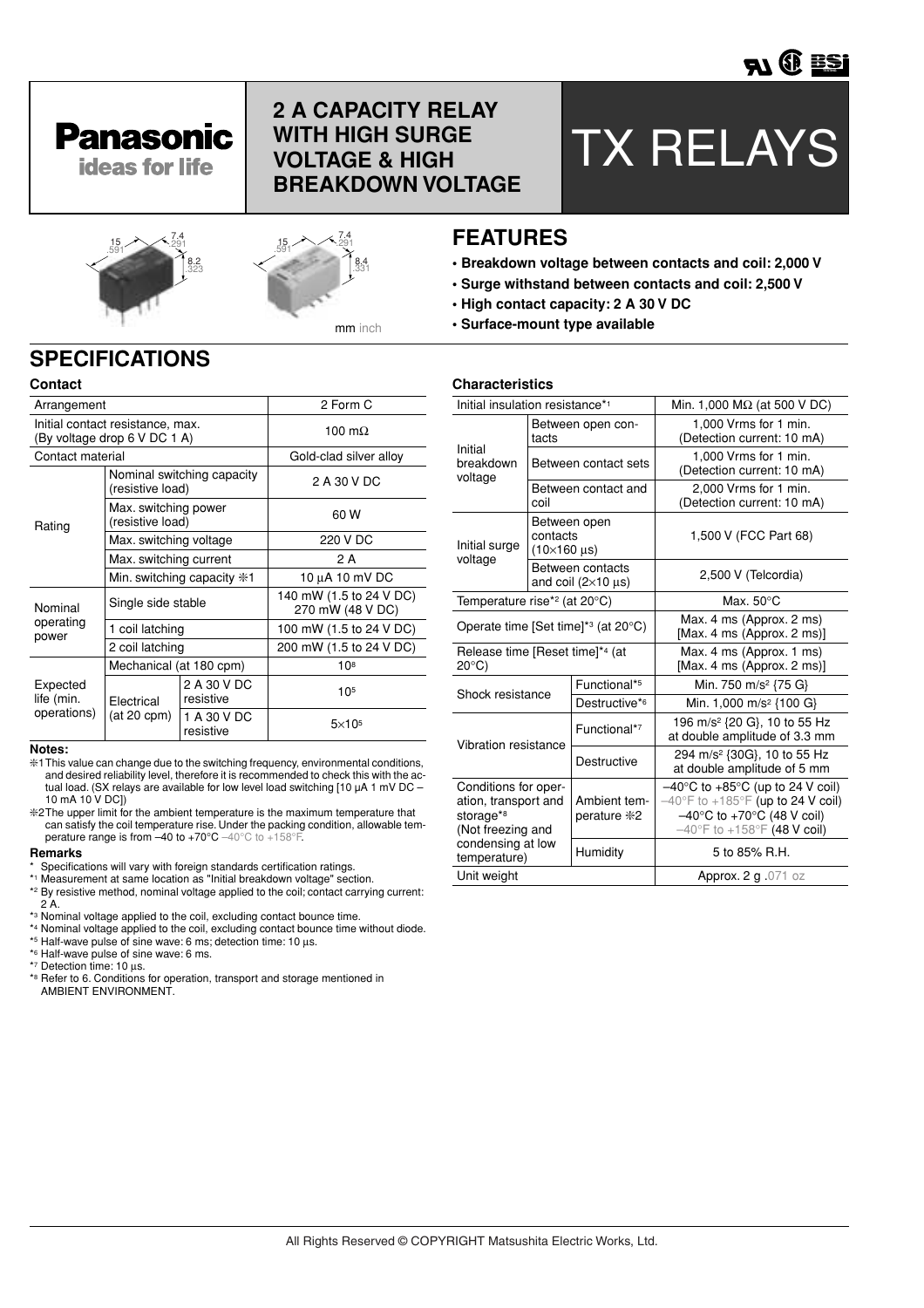

## **2 A CAPACITY RELAY WITH HIGH SURGE VOLTAGE & HIGH BREAKDOWN VOLTAGE**

# TX RELAYS





## 7.4 <sup>15</sup> .291 .591 **FEATURES**

- **Breakdown voltage between contacts and coil: 2,000 V**
- **Surge withstand between contacts and coil: 2,500 V**
- **High contact capacity: 2 A 30 V DC**
- **Surface-mount type available**

## **SPECIFICATIONS**

| Contact                               |                                                                  |                              |                                             |  |
|---------------------------------------|------------------------------------------------------------------|------------------------------|---------------------------------------------|--|
| Arrangement                           |                                                                  | 2 Form C                     |                                             |  |
|                                       | Initial contact resistance, max.<br>(By voltage drop 6 V DC 1 A) | 100 m $\Omega$               |                                             |  |
| Contact material                      |                                                                  |                              | Gold-clad silver alloy                      |  |
| Rating                                | (resistive load)                                                 | Nominal switching capacity   | 2 A 30 V DC                                 |  |
|                                       | Max. switching power<br>(resistive load)                         |                              | 60 W                                        |  |
|                                       | Max. switching voltage                                           |                              | 220 V DC                                    |  |
|                                       | Max. switching current                                           |                              | 2 A                                         |  |
|                                       |                                                                  | Min. switching capacity $*1$ | 10 µA 10 mV DC                              |  |
| Nominal                               | Single side stable                                               |                              | 140 mW (1.5 to 24 V DC)<br>270 mW (48 V DC) |  |
| operating<br>power                    | 1 coil latching                                                  |                              | 100 mW (1.5 to 24 V DC)                     |  |
|                                       | 2 coil latching                                                  |                              | 200 mW (1.5 to 24 V DC)                     |  |
|                                       | Mechanical (at 180 cpm)                                          |                              | 108                                         |  |
| Expected<br>life (min.<br>operations) | Electrical<br>$(at 20$ cpm $)$                                   | 2 A 30 V DC<br>resistive     | 105                                         |  |
|                                       |                                                                  | 1 A 30 V DC<br>resistive     | $5\times105$                                |  |

#### **Notes:**

- ❇1This value can change due to the switching frequency, environmental conditions, and desired reliability level, therefore it is recommended to check this with the actual load. (SX relays are available for low level load switching [10 µA 1 mV DC – 10 mA 10 V DC])
- ❇2The upper limit for the ambient temperature is the maximum temperature that can satisfy the coil temperature rise. Under the packing condition, allowable temperature range is from  $-40$  to  $+70^{\circ}$ C  $-40^{\circ}$ C to  $+158^{\circ}$ F.

#### **Remarks**

- \* Specifications will vary with foreign standards certification ratings. \*1 Measurement at same location as "Initial breakdown voltage" section.
- 
- \*2 By resistive method, nominal voltage applied to the coil; contact carrying current:  $2^{\mathsf{T}}$ A
- \*3 Nominal voltage applied to the coil, excluding contact bounce time.
- \*4 Nominal voltage applied to the coil, excluding contact bounce time without diode.
- \*5 Half-wave pulse of sine wave: 6 ms; detection time: 10 µs.
- \*6 Half-wave pulse of sine wave: 6 ms.
- \*7 Detection time: 10 µs.
- \*8 Refer to 6. Conditions for operation, transport and storage mentioned in AMBIENT ENVIRONMENT.

#### **Characteristics**

| Initial insulation resistance* <sup>1</sup>                                    |                                                     |                                                    | Min. 1,000 $M\Omega$ (at 500 V DC)                                                                                                                                                                                    |  |                                                                        |  |
|--------------------------------------------------------------------------------|-----------------------------------------------------|----------------------------------------------------|-----------------------------------------------------------------------------------------------------------------------------------------------------------------------------------------------------------------------|--|------------------------------------------------------------------------|--|
|                                                                                | tacts                                               | Between open con-                                  | 1,000 Vrms for 1 min.<br>(Detection current: 10 mA)                                                                                                                                                                   |  |                                                                        |  |
| Initial<br>breakdown<br>voltage                                                |                                                     | Between contact sets                               | 1,000 Vrms for 1 min.<br>(Detection current: 10 mA)                                                                                                                                                                   |  |                                                                        |  |
|                                                                                | coil                                                | Between contact and                                | 2,000 Vrms for 1 min.<br>(Detection current: 10 mA)                                                                                                                                                                   |  |                                                                        |  |
| Initial surge<br>voltage                                                       | Between open<br>contacts<br>$(10\times160 \,\mu s)$ |                                                    | 1,500 V (FCC Part 68)                                                                                                                                                                                                 |  |                                                                        |  |
|                                                                                |                                                     | Between contacts<br>and coil $(2\times10 \,\mu s)$ | 2,500 V (Telcordia)                                                                                                                                                                                                   |  |                                                                        |  |
| Temperature rise* <sup>2</sup> (at 20°C)                                       |                                                     |                                                    | Max. $50^{\circ}$ C                                                                                                                                                                                                   |  |                                                                        |  |
| Operate time [Set time]* <sup>3</sup> (at 20°C)                                |                                                     |                                                    | Max. 4 ms (Approx. 2 ms)<br>[Max. 4 ms (Approx. 2 ms)]                                                                                                                                                                |  |                                                                        |  |
| $20^{\circ}$ C)                                                                | Release time [Reset time]*4 (at                     |                                                    | Max. 4 ms (Approx. 1 ms)<br>[Max. 4 ms (Approx. 2 ms)]                                                                                                                                                                |  |                                                                        |  |
| Shock resistance                                                               |                                                     | Functional*5                                       | Min. 750 m/s <sup>2</sup> {75 G}                                                                                                                                                                                      |  |                                                                        |  |
|                                                                                |                                                     | Destructive*6                                      | Min. 1,000 m/s <sup>2</sup> {100 G}                                                                                                                                                                                   |  |                                                                        |  |
| Vibration resistance                                                           | Functional*7                                        |                                                    | 196 m/s <sup>2</sup> {20 G}, 10 to 55 Hz<br>at double amplitude of 3.3 mm                                                                                                                                             |  |                                                                        |  |
|                                                                                |                                                     |                                                    | Destructive                                                                                                                                                                                                           |  | 294 m/s <sup>2</sup> {30G}, 10 to 55 Hz<br>at double amplitude of 5 mm |  |
| Conditions for oper-<br>ation, transport and<br>storage*8<br>(Not freezing and |                                                     | Ambient tem-<br>perature *2                        | $-40^{\circ}$ C to $+85^{\circ}$ C (up to 24 V coil)<br>$-40^{\circ}$ F to +185 $^{\circ}$ F (up to 24 V coil)<br>$-40^{\circ}$ C to +70 $^{\circ}$ C (48 V coil)<br>$-40^{\circ}$ F to +158 $^{\circ}$ F (48 V coil) |  |                                                                        |  |
| condensing at low<br>temperature)                                              |                                                     | Humidity                                           | 5 to 85% R.H.                                                                                                                                                                                                         |  |                                                                        |  |
| Unit weight                                                                    |                                                     |                                                    | Approx. 2 g .071 oz                                                                                                                                                                                                   |  |                                                                        |  |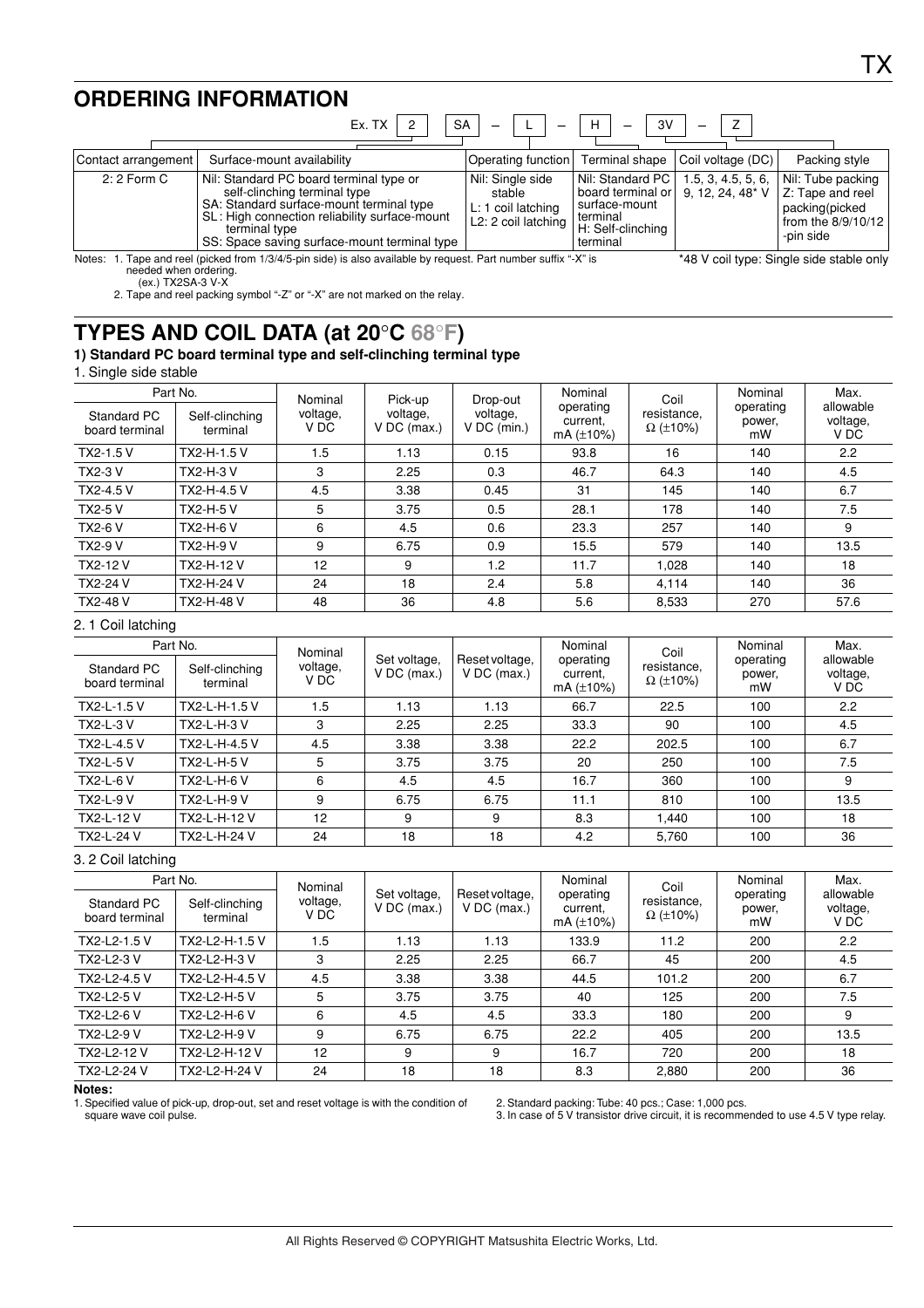## **ORDERING INFORMATION**

|                     | Ex. TX<br><b>SA</b>                                                                                                                                                                                                                   |                                                                                      | 3V<br>н                                                                                                                      |                                    |                                                                                              |
|---------------------|---------------------------------------------------------------------------------------------------------------------------------------------------------------------------------------------------------------------------------------|--------------------------------------------------------------------------------------|------------------------------------------------------------------------------------------------------------------------------|------------------------------------|----------------------------------------------------------------------------------------------|
| Contact arrangement | Surface-mount availability                                                                                                                                                                                                            | Operating function                                                                   |                                                                                                                              | Terminal shape   Coil voltage (DC) | Packing style                                                                                |
| $2:2$ Form C        | Nil: Standard PC board terminal type or<br>self-clinching terminal type<br>SA: Standard surface-mount terminal type<br>SL: High connection reliability surface-mount<br>terminal type<br>SS: Space saving surface-mount terminal type | Nil: Single side<br>stable<br>L: 1 coil latching<br>L <sub>2</sub> : 2 coil latching | Nil: Standard PC<br>board terminal or $\vert$ 9, 12, 24, 48* V<br>surface-mount<br>terminal<br>H: Self-clinching<br>terminal | 1.5, 3, 4.5, 5, 6,                 | Nil: Tube packing<br>Z: Tape and reel<br>packing(picked<br>from the $8/9/10/12$<br>-pin side |
| Notes:              | 1. Tape and reel (picked from 1/3/4/5-pin side) is also available by request. Part number suffix "-X" is                                                                                                                              |                                                                                      | *48 V coil type: Single side stable only                                                                                     |                                    |                                                                                              |

 $\overline{\phantom{0}}$ 

Notes: 1. Tape and reel (picked from 1/3/4/5-pin side) is also available by request. Part number suffix "-X" is needed when ordering.

(ex.) TX2SA-3 V-X

2. Tape and reel packing symbol "-Z" or "-X" are not marked on the relay.

## **TYPES AND COIL DATA (at 20**°**C 68**°**F)**

### **1) Standard PC board terminal type and self-clinching terminal type**

#### 1. Single side stable

| Part No.                             |                            | Nominal          | Pick-up                 | Drop-out                  | Nominal                                  | Coil                           | Nominal                   | Max.                          |
|--------------------------------------|----------------------------|------------------|-------------------------|---------------------------|------------------------------------------|--------------------------------|---------------------------|-------------------------------|
| <b>Standard PC</b><br>board terminal | Self-clinching<br>terminal | voltage,<br>V DC | voltage,<br>V DC (max.) | voltage,<br>$V$ DC (min.) | operating<br>current.<br>mA $(\pm 10\%)$ | resistance,<br>$\Omega$ (±10%) | operating<br>power,<br>mW | allowable<br>voltage,<br>V DC |
| TX2-1.5 V                            | TX2-H-1.5 V                | 1.5              | 1.13                    | 0.15                      | 93.8                                     | 16                             | 140                       | 2.2                           |
| <b>TX2-3 V</b>                       | <b>TX2-H-3 V</b>           | 3                | 2.25                    | 0.3                       | 46.7                                     | 64.3                           | 140                       | 4.5                           |
| TX2-4.5 V                            | TX2-H-4.5 V                | 4.5              | 3.38                    | 0.45                      | 31                                       | 145                            | 140                       | 6.7                           |
| <b>TX2-5 V</b>                       | <b>TX2-H-5 V</b>           | 5                | 3.75                    | 0.5                       | 28.1                                     | 178                            | 140                       | 7.5                           |
| <b>TX2-6 V</b>                       | <b>TX2-H-6 V</b>           | 6                | 4.5                     | 0.6                       | 23.3                                     | 257                            | 140                       | 9                             |
| <b>TX2-9 V</b>                       | <b>TX2-H-9 V</b>           | 9                | 6.75                    | 0.9                       | 15.5                                     | 579                            | 140                       | 13.5                          |
| <b>TX2-12 V</b>                      | TX2-H-12 V                 | 12               | 9                       | 1.2                       | 11.7                                     | 1.028                          | 140                       | 18                            |
| <b>TX2-24 V</b>                      | TX2-H-24 V                 | 24               | 18                      | 2.4                       | 5.8                                      | 4.114                          | 140                       | 36                            |
| <b>TX2-48 V</b>                      | TX2-H-48 V                 | 48               | 36                      | 4.8                       | 5.6                                      | 8,533                          | 270                       | 57.6                          |

#### 2. 1 Coil latching

| Part No.                             |                            | Nominal          |                               |                                 | Nominal                                  | Coil                           | Nominal                   | Max.                          |
|--------------------------------------|----------------------------|------------------|-------------------------------|---------------------------------|------------------------------------------|--------------------------------|---------------------------|-------------------------------|
| <b>Standard PC</b><br>board terminal | Self-clinching<br>terminal | voltage,<br>V DC | Set voltage,<br>$V$ DC (max.) | Reset voltage,<br>$V$ DC (max.) | operating<br>current,<br>mA $(\pm 10\%)$ | resistance,<br>$\Omega$ (±10%) | operating<br>power,<br>mW | allowable<br>voltage,<br>V DC |
| TX2-L-1.5 V                          | TX2-L-H-1.5 V              | 1.5              | 1.13                          | 1.13                            | 66.7                                     | 22.5                           | 100                       | 2.2                           |
| <b>TX2-L-3 V</b>                     | TX2-L-H-3 V                | 3                | 2.25                          | 2.25                            | 33.3                                     | 90                             | 100                       | 4.5                           |
| TX2-L-4.5 V                          | TX2-L-H-4.5 V              | 4.5              | 3.38                          | 3.38                            | 22.2                                     | 202.5                          | 100                       | 6.7                           |
| <b>TX2-L-5 V</b>                     | <b>TX2-L-H-5 V</b>         | 5                | 3.75                          | 3.75                            | 20                                       | 250                            | 100                       | 7.5                           |
| <b>TX2-L-6 V</b>                     | TX2-L-H-6 V                | 6                | 4.5                           | 4.5                             | 16.7                                     | 360                            | 100                       | 9                             |
| <b>TX2-L-9 V</b>                     | <b>TX2-L-H-9 V</b>         | 9                | 6.75                          | 6.75                            | 11.1                                     | 810                            | 100                       | 13.5                          |
| <b>TX2-L-12 V</b>                    | TX2-L-H-12 V               | 12               | 9                             | 9                               | 8.3                                      | 1.440                          | 100                       | 18                            |
| <b>TX2-L-24 V</b>                    | TX2-L-H-24 V               | 24               | 18                            | 18                              | 4.2                                      | 5.760                          | 100                       | 36                            |

#### 3. 2 Coil latching

| Standard PC<br>board terminal | Part No.<br>Self-clinching<br>terminal | Nominal<br>voltage,<br>V DC | Set voltage,<br>$V$ DC (max.) | Reset voltage,<br>$V$ DC (max.) | Nominal<br>operating<br>current,<br>mA $(\pm 10\%)$ | Coil<br>resistance.<br>$\Omega$ (±10%) | Nominal<br>operating<br>power.<br>mW | Max.<br>allowable<br>voltage,<br>V DC |
|-------------------------------|----------------------------------------|-----------------------------|-------------------------------|---------------------------------|-----------------------------------------------------|----------------------------------------|--------------------------------------|---------------------------------------|
| TX2-L2-1.5 V                  | TX2-L2-H-1.5 V                         | 1.5                         | 1.13                          | 1.13                            | 133.9                                               | 11.2                                   | 200                                  | 2.2                                   |
| TX2-L2-3 V                    | TX2-L2-H-3 V                           | 3                           | 2.25                          | 2.25                            | 66.7                                                | 45                                     | 200                                  | 4.5                                   |
| TX2-L2-4.5 V                  | TX2-L2-H-4.5 V                         | 4.5                         | 3.38                          | 3.38                            | 44.5                                                | 101.2                                  | 200                                  | 6.7                                   |
| <b>TX2-L2-5 V</b>             | TX2-L2-H-5 V                           | 5                           | 3.75                          | 3.75                            | 40                                                  | 125                                    | 200                                  | 7.5                                   |
| <b>TX2-L2-6 V</b>             | TX2-L2-H-6 V                           | 6                           | 4.5                           | 4.5                             | 33.3                                                | 180                                    | 200                                  | 9                                     |
| <b>TX2-L2-9 V</b>             | TX2-L2-H-9 V                           | 9                           | 6.75                          | 6.75                            | 22.2                                                | 405                                    | 200                                  | 13.5                                  |
| TX2-L2-12 V                   | TX2-L2-H-12 V                          | 12                          | 9                             | 9                               | 16.7                                                | 720                                    | 200                                  | 18                                    |
| TX2-L2-24 V                   | TX2-L2-H-24 V                          | 24                          | 18                            | 18                              | 8.3                                                 | 2,880                                  | 200                                  | 36                                    |

#### **Notes:**

1. Specified value of pick-up, drop-out, set and reset voltage is with the condition of square wave coil pulse.

2. Standard packing: Tube: 40 pcs.; Case: 1,000 pcs.

3. In case of 5 V transistor drive circuit, it is recommended to use 4.5 V type relay.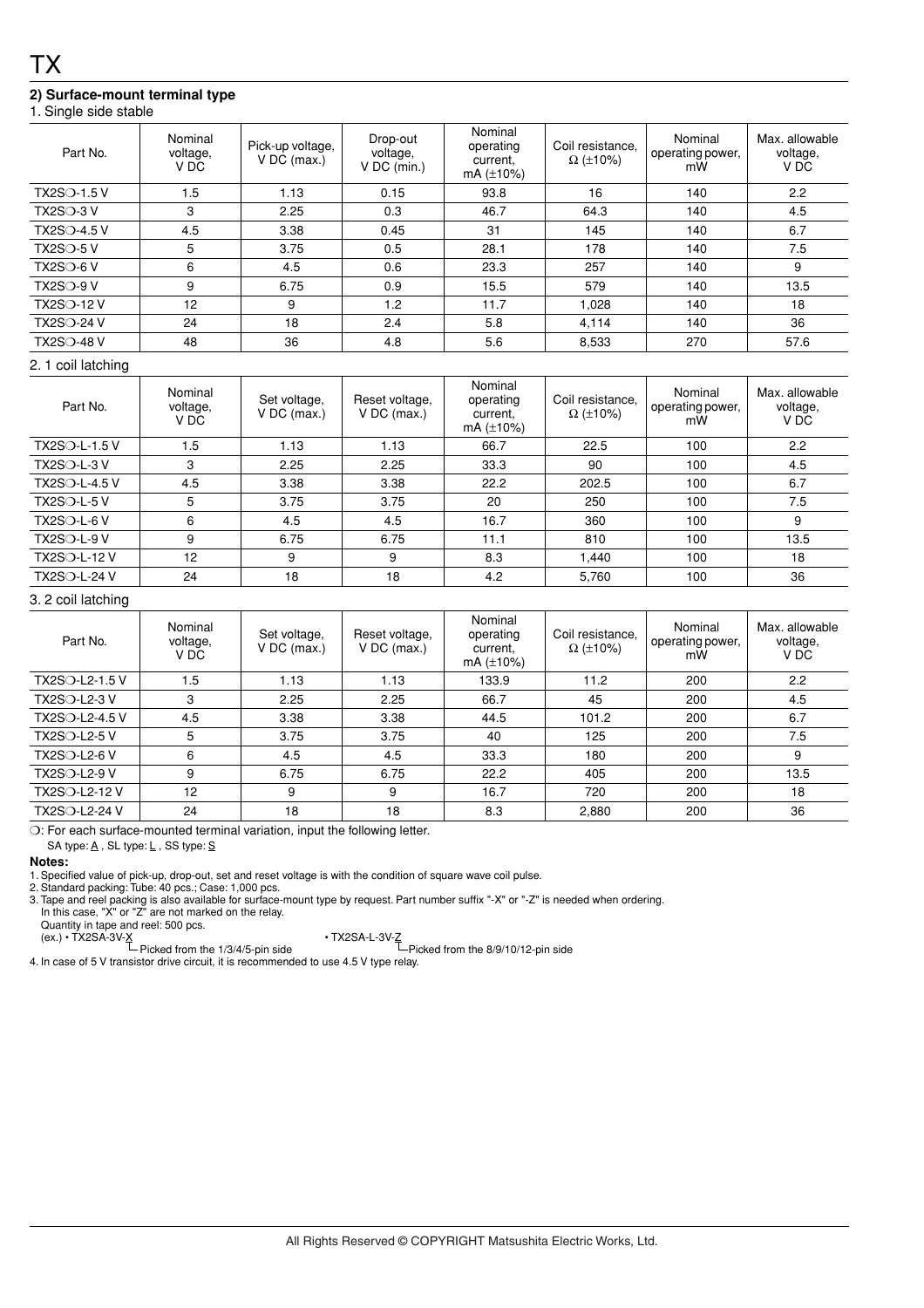## **2) Surface-mount terminal type**

| Part No.           | Nominal<br>voltage,<br>V DC | Pick-up voltage,<br>$V$ DC (max.) | Drop-out<br>voltage,<br>$V$ DC (min.) | Nominal<br>operating<br>current.<br>mA $(\pm 10\%)$ | Coil resistance.<br>$\Omega$ (±10%) | Nominal<br>operating power,<br>mW | Max. allowable<br>voltage,<br>V DC |
|--------------------|-----------------------------|-----------------------------------|---------------------------------------|-----------------------------------------------------|-------------------------------------|-----------------------------------|------------------------------------|
| <b>TX2SO-1.5 V</b> | 1.5                         | 1.13                              | 0.15                                  | 93.8                                                | 16                                  | 140                               | 2.2                                |
| $TX2SO-3V$         | 3                           | 2.25                              | 0.3                                   | 46.7                                                | 64.3                                | 140                               | 4.5                                |
| <b>TX2SO-4.5 V</b> | 4.5                         | 3.38                              | 0.45                                  | 31                                                  | 145                                 | 140                               | 6.7                                |
| $TX2SO-5V$         | 5                           | 3.75                              | 0.5                                   | 28.1                                                | 178                                 | 140                               | 7.5                                |
| $TX2SO-6V$         | 6                           | 4.5                               | 0.6                                   | 23.3                                                | 257                                 | 140                               | 9                                  |
| $TX2SO-9V$         | 9                           | 6.75                              | 0.9                                   | 15.5                                                | 579                                 | 140                               | 13.5                               |
| <b>TX2SO-12 V</b>  | 12                          | 9                                 | 1.2                                   | 11.7                                                | 1,028                               | 140                               | 18                                 |
| <b>TX2SO-24 V</b>  | 24                          | 18                                | 2.4                                   | 5.8                                                 | 4,114                               | 140                               | 36                                 |
| <b>TX2SO-48 V</b>  | 48                          | 36                                | 4.8                                   | 5.6                                                 | 8,533                               | 270                               | 57.6                               |

#### 2. 1 coil latching

| Part No.             | Nominal<br>voltage,<br>V DC | Set voltage,<br>$V$ DC (max.) | Reset voltage,<br>$V$ DC (max.) | Nominal<br>operating<br>current.<br>mA $(\pm 10\%)$ | Coil resistance,<br>$\Omega$ (±10%) | Nominal<br>operating power,<br>mW | Max. allowable<br>voltage,<br>V DC |
|----------------------|-----------------------------|-------------------------------|---------------------------------|-----------------------------------------------------|-------------------------------------|-----------------------------------|------------------------------------|
| <b>TX2SO-L-1.5 V</b> | 1.5                         | 1.13                          | 1.13                            | 66.7                                                | 22.5                                | 100                               | 2.2                                |
| $TX2SO-L-3V$         | 3                           | 2.25                          | 2.25                            | 33.3                                                | 90                                  | 100                               | 4.5                                |
| TX2SO-L-4.5 V        | 4.5                         | 3.38                          | 3.38                            | 22.2                                                | 202.5                               | 100                               | 6.7                                |
| <b>TX2SO-L-5 V</b>   | 5                           | 3.75                          | 3.75                            | 20                                                  | 250                                 | 100                               | 7.5                                |
| <b>TX2SO-L-6 V</b>   | 6                           | 4.5                           | 4.5                             | 16.7                                                | 360                                 | 100                               | 9                                  |
| <b>TX2SO-L-9 V</b>   | 9                           | 6.75                          | 6.75                            | 11.1                                                | 810                                 | 100                               | 13.5                               |
| <b>TX2SO-L-12 V</b>  | 12                          | 9                             | 9                               | 8.3                                                 | .440                                | 100                               | 18                                 |
| <b>TX2SO-L-24 V</b>  | 24                          | 18                            | 18                              | 4.2                                                 | 5,760                               | 100                               | 36                                 |

#### 3. 2 coil latching

| Part No.            | Nominal<br>voltage,<br>V DC | Set voltage,<br>$V$ DC (max.) | Reset voltage,<br>$V$ DC (max.) | Nominal<br>operating<br>current,<br>mA $(\pm 10\%)$ | Coil resistance.<br>$\Omega$ (±10%) | Nominal<br>operating power,<br>mW | Max. allowable<br>voltage,<br>V DC |
|---------------------|-----------------------------|-------------------------------|---------------------------------|-----------------------------------------------------|-------------------------------------|-----------------------------------|------------------------------------|
| TX2SO-L2-1.5 V      | 1.5                         | 1.13                          | 1.13                            | 133.9                                               | 11.2                                | 200                               | 2.2                                |
| <b>TX2SO-L2-3 V</b> | 3                           | 2.25                          | 2.25                            | 66.7                                                | 45                                  | 200                               | 4.5                                |
| TX2SO-L2-4.5 V      | 4.5                         | 3.38                          | 3.38                            | 44.5                                                | 101.2                               | 200                               | 6.7                                |
| <b>TX2SO-L2-5 V</b> | 5                           | 3.75                          | 3.75                            | 40                                                  | 125                                 | 200                               | 7.5                                |
| <b>TX2SO-L2-6 V</b> | 6                           | 4.5                           | 4.5                             | 33.3                                                | 180                                 | 200                               | 9                                  |
| <b>TX2SO-L2-9 V</b> | 9                           | 6.75                          | 6.75                            | 22.2                                                | 405                                 | 200                               | 13.5                               |
| TX2SO-L2-12 V       | 12                          | 9                             | 9                               | 16.7                                                | 720                                 | 200                               | 18                                 |
| TX2SO-L2-24 V       | 24                          | 18                            | 18                              | 8.3                                                 | 2,880                               | 200                               | 36                                 |

❍: For each surface-mounted terminal variation, input the following letter.

SA type: A, SL type: L, SS type: S

#### **Notes:**

1. Specified value of pick-up, drop-out, set and reset voltage is with the condition of square wave coil pulse.

2. Standard packing: Tube: 40 pcs.; Case: 1,000 pcs.

3. Tape and reel packing is also available for surface-mount type by request. Part number suffix "-X" or "-Z" is needed when ordering. In this case, "X" or "Z" are not marked on the relay.

Quantity in tape and reel: 500 pcs. (ex.) • TX2SA-3V-X • TX2SA-L-3V-Z Picked from the 1/3/4/5-pin side Picked from the 8/9/10/12-pin side

4. In case of 5 V transistor drive circuit, it is recommended to use 4.5 V type relay.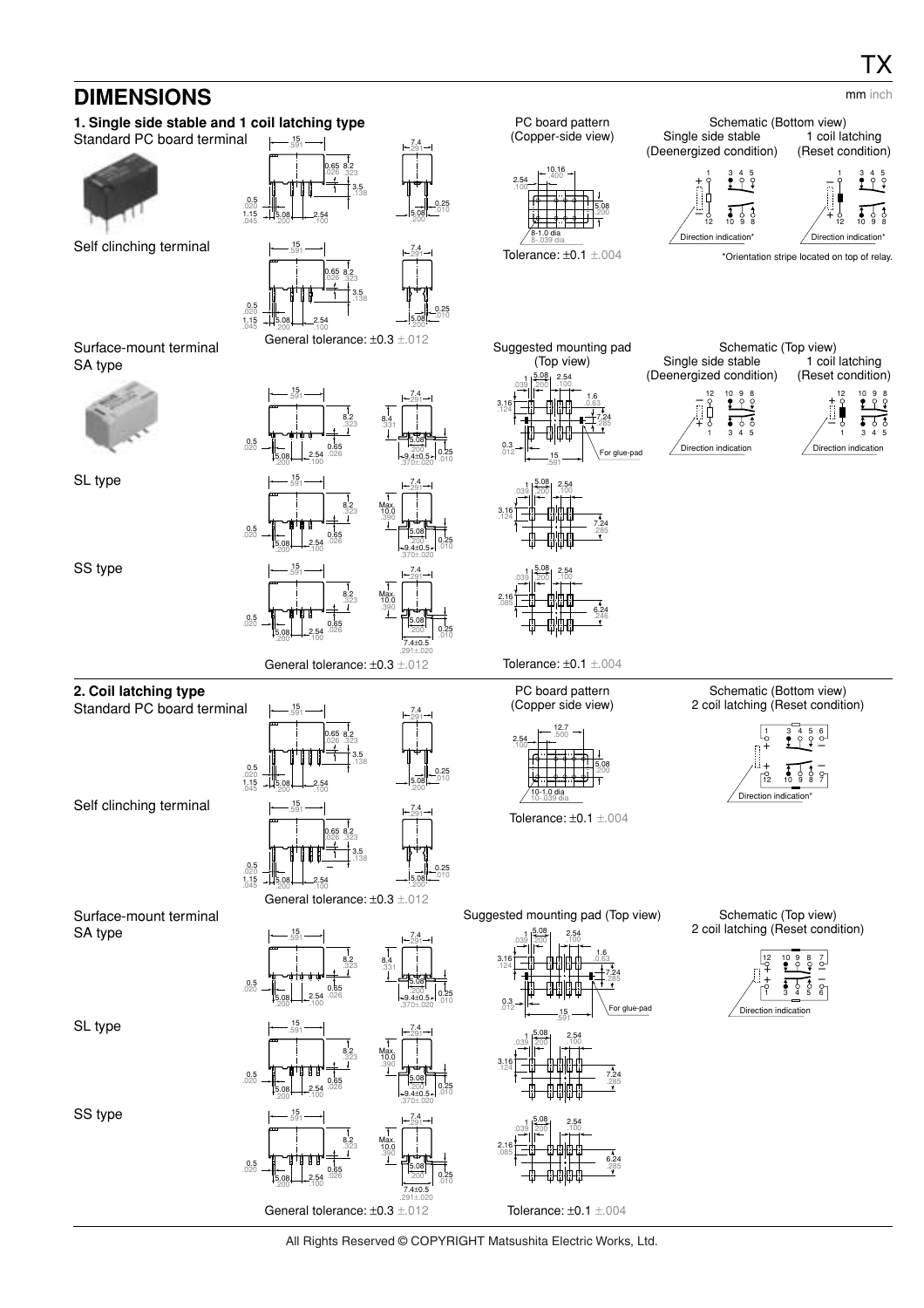## **DIMENSIONS**

#### **1. Single side stable and 1 coil latching type** Standard PC board terminal  $_{0.5}$  $.020$   $+15.08$ <br> $.045$   $.200$ .200 2.54 .100 **0.65 8.2**<br>.026 .323 3.5 .138 7.4 .291 5.08 .200 0.25 .010 15 .591 Self clinching terminal General tolerance: ±0.3 ±.012  $0.5$  $.020$   $+15.08$ <br> $.045$   $.200$ **5.08 - 2.54**<br>.200 100 .100 8.2 .323 3.5 .138 0.65 .026 7.4 .291 5.08 .200 0.25 .010 15 .591 PC board pattern (Copper-side view) Tolerance: ±0.1 ±.004 5.08 .200 2.54 .100 8-1.0 dia 8-.039 dia 10.16 .400 Schematic (Bottom view) Single side stable (Deenergized condition) 1 coil latching (Reset condition) \*Orientation stripe located on top of relay. Dire 12 10 9 8 1 3 4 5 + – Direction indication\* 12 10 9 8 1 3 4 5 + – Surface-mount terminal SA type 0.5 .020 5.08 .200 2.54 .100 8.2 8.2<br>.323 .33 .331 0.65 .026 7.4 .291 5.08  $.200 - 0.25$ .010 15 .591  $^{+9.4\pm0.5+}_{.370\pm.020}$ SL type  $0.5$ <br> $0.20$ 5.08  $\frac{5.08}{200}$  -  $-2.54$ .100 8.2 .323 0.65 .026 7.4 .291 5.08  $.200 - 0.25$ .010 15 .591  $-9.4\pm0.5$ <br> $.370\pm.020$ Max. 10.0 .390 SS type General tolerance: ±0.3 ±.012 0.5 .020 5.08 .200 2.54 .100 8.2 .323 0.65 .026 7.4 .291 5.08  $.200$  0.25 .010 15 .591 7.4±0.5 .291±.020 Max. 10.0 .390 Suggested mounting pad (Top view) Tolerance: ±0.1 ±.004  $0.3$ <br> $0.12$ 3.16 .124  $1 \overline{\smash{\big)}\ 200}$  2.54<br>.039 .200 .100 .100 5.08 .200 1.6 .0.63 7.24 .285 15 .591 For glue-pad 3.16 .124  $\frac{1}{200}$  2.54 .100 5.08 .200 7.24 .285 2.16 .085  $\frac{1}{200}$  2.54 .100 5.08 .200 6.24 .246 Schematic (Top view) Single side stable (Deenergized condition) 1 coil latching (Reset condition) Direction indication + – 12 10 9 8 1 3 4 5 Direction indication + – 12 10 9 8 1 3 4 5 mm inch **2. Coil latching type** Standard PC board terminal 0.5  $.020$   $+15.08$ <br> $.045$   $.200$ **5.08 - 2.54**<br>.200 100 .100 8.2 .323 3.5 .138 0.65 .026 7.4 .291 5.08 .200 0.25 .010 15 .591 Self clinching terminal General tolerance: ±0.3 ±.012  $\begin{array}{c} 0.5 \\ 0.20 \\ 1.15 \\ 0.45 \end{array}$   $\begin{array}{c} 0.5 \\ -4.508 \\ 0.200 \end{array}$ .200 2.54 .100 8.2 .323 3.5 .138 0.65 .026 7.4 .291 5.08 .200 0.25 .010 15 .591 PC board pattern (Copper side view) Tolerance: ±0.1 ±.004 5.08 .200 2.54 .100 10-1.0 dia 10-.039 dia 12.7 .500 Schematic (Bottom view) 2 coil latching (Reset condition) Direction indication\* 12 10 9 8 7 1 3 4 5 6  $\check{+}$ + – – Surface-mount terminal SA type 0.5 .020 5.08 .200 2.54 .100 8.2 8.2<br>.323 .33 .331 0.65 .026 7.4 .291 5.08  $.200 - 0.25$ .010 15 .591  $+9.4\pm0.5$  +  $370\pm.020$ SL type 0.5 .020 5.08  $\frac{5.08}{200}$   $\rightarrow$  2.54 .100 8.2 .323 0.65 .026 7.4 .291 5.08  $.200$  0.25 .010 15 .591  $^{+9.4\pm0.5+}_{.370\pm.020}$ Max. 10.0 .390 SS type  $0.5$ <br> $0.20$ 2.54 8.2 .323 0.65 .026 7.4 .291 5.08  $.200 - 0.25$ 15 .591 Max. 10.0 .390 Suggested mounting pad (Top view)  $0.3$ <br> $0.12$ 3.16 .124  $13.08$  2.54 .100 5.08 .200 1.6 .0.63 7.24 .285 15 .591 For glue-pad 3.16 .124  $1 \overline{)200}$  2.54 .100 5.08 .200 7.24 .285 2.16 .085  $\begin{array}{c|c|c}\n & 1 & 2.08 & 2.54 \\
\hline\n0.39 & 200 & .100\n\end{array}$ .100 5.08 .200 6.24 .285 Schematic (Top view) 2 coil latching (Reset condition) .<br>Direction indic + + 110<br>+ 114  $\overline{a}$ 12 10 9 8 7 1 3 4 5 6

All Rights Reserved © COPYRIGHT Matsushita Electric Works, Ltd.

Tolerance: ±0.1 ±.004

.010

7.4±0.5 .291±.020

General tolerance: ±0.3 ±.012

.100

5.08 .200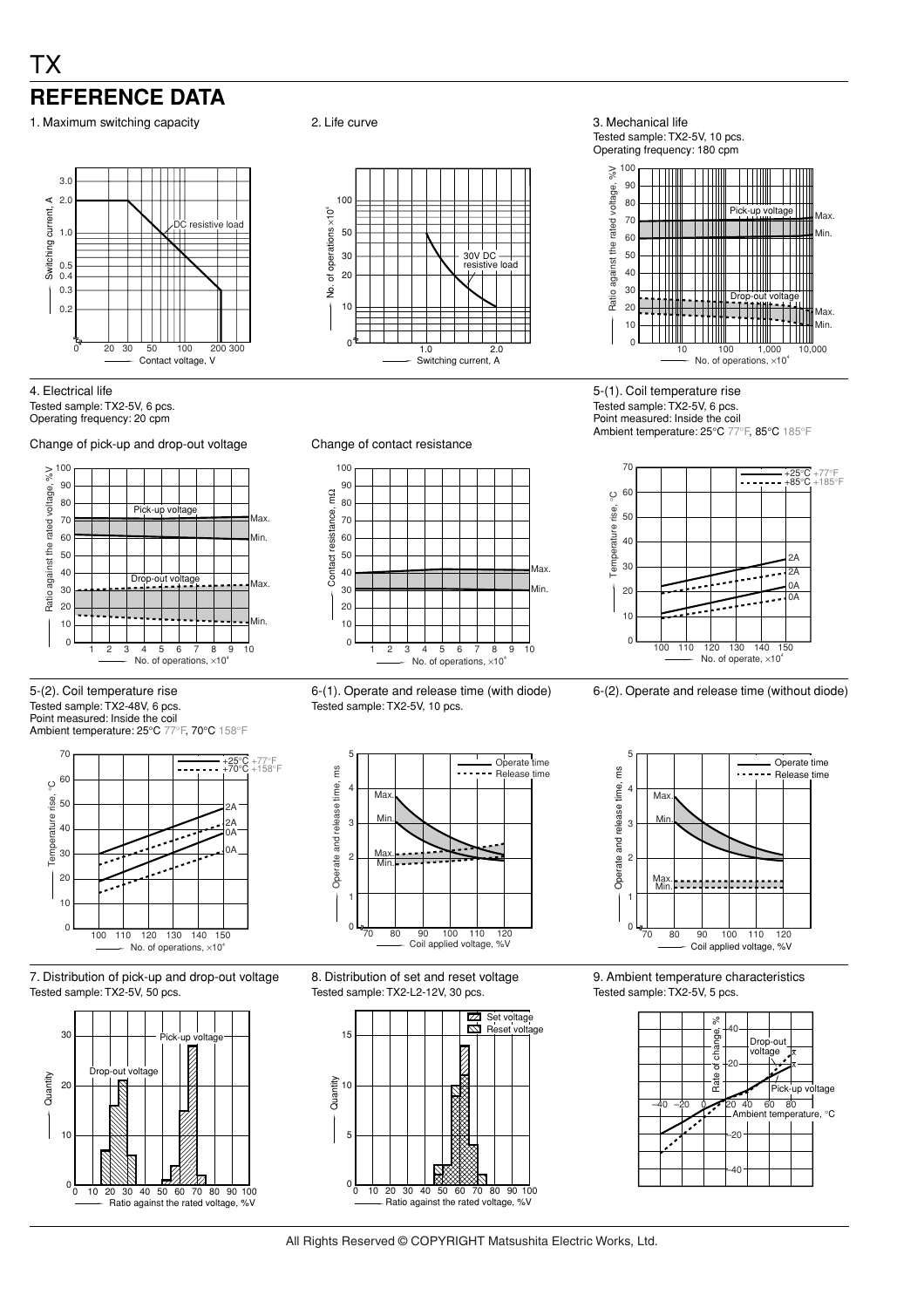## TX **REFERENCE DATA**

1. Maximum switching capacity **2.** Life curve **3. Mechanical life** 3. Mechanical life



4. Electrical life Tested sample: TX2-5V, 6 pcs. Operating frequency: 20 cpm

Change of pick-up and drop-out voltage Change of contact resistance



5-(2). Coil temperature rise Tested sample: TX2-48V, 6 pcs. Point measured: Inside the coil Ambient temperature: 25°C 77°F, 70°C 158°F



7. Distribution of pick-up and drop-out voltage Tested sample: TX2-5V, 50 pcs.





Tested sample: TX2-5V, 10 pcs. Operating frequency: 180 cpm



5-(1). Coil temperature rise Tested sample: TX2-5V, 6 pcs. Point measured: Inside the coil Ambient temperature: 25°C 77°F, 85°C 185°F







9. Ambient temperature characteristics Tested sample: TX2-5V, 5 pcs.





6-(1). Operate and release time (with diode) Tested sample: TX2-5V, 10 pcs.



8. Distribution of set and reset voltage Tested sample: TX2-L2-12V, 30 pcs.



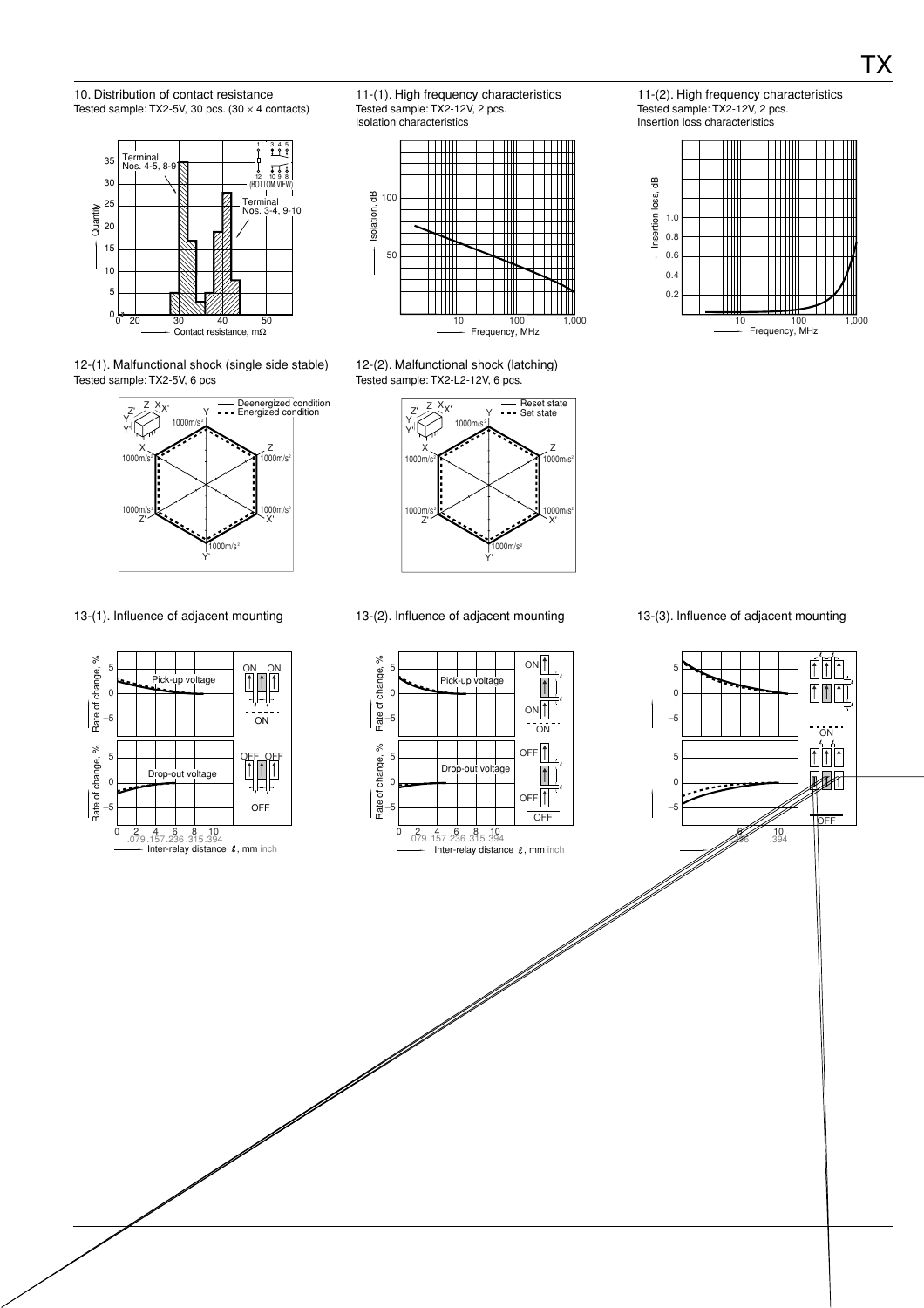10. Distribution of contact resistance Tested sample: TX2-5V, 30 pcs.  $(30 \times 4 \text{ contacts})$ 



12-(1). Malfunctional shock (single side stable) Tested sample: TX2-5V, 6 pcs







12-(2). Malfunctional shock (latching) Tested sample: TX2-L2-12V, 6 pcs.



11-(2). High frequency characteristics Tested sample: TX2-12V, 2 pcs. Insertion loss characteristics